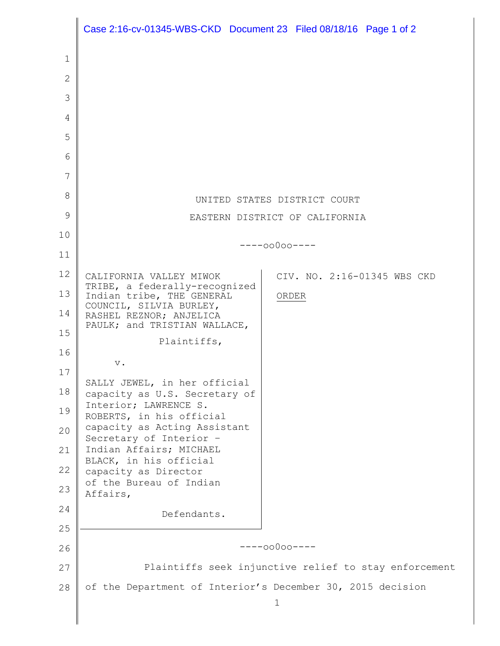|              | Case 2:16-cv-01345-WBS-CKD Document 23 Filed 08/18/16 Page 1 of 2 |       |                             |
|--------------|-------------------------------------------------------------------|-------|-----------------------------|
| 1            |                                                                   |       |                             |
| $\mathbf{2}$ |                                                                   |       |                             |
| 3            |                                                                   |       |                             |
| 4            |                                                                   |       |                             |
| 5            |                                                                   |       |                             |
| 6            |                                                                   |       |                             |
| 7            |                                                                   |       |                             |
| 8            | UNITED STATES DISTRICT COURT                                      |       |                             |
| 9            | EASTERN DISTRICT OF CALIFORNIA                                    |       |                             |
| 10           |                                                                   |       |                             |
| 11           | $---00000---$                                                     |       |                             |
| 12           | CALIFORNIA VALLEY MIWOK                                           |       | CIV. NO. 2:16-01345 WBS CKD |
| 13           | TRIBE, a federally-recognized<br>Indian tribe, THE GENERAL        | ORDER |                             |
| 14           | COUNCIL, SILVIA BURLEY,<br>RASHEL REZNOR; ANJELICA                |       |                             |
| 15           | PAULK; and TRISTIAN WALLACE,<br>Plaintiffs,                       |       |                             |
| 16           |                                                                   |       |                             |
| 17           | $\mathbf v$ .                                                     |       |                             |
| 18           | SALLY JEWEL, in her official<br>capacity as U.S. Secretary of     |       |                             |
| 19           | Interior; LAWRENCE S.<br>ROBERTS, in his official                 |       |                             |
| 20           | capacity as Acting Assistant<br>Secretary of Interior -           |       |                             |
| 21           | Indian Affairs; MICHAEL<br>BLACK, in his official                 |       |                             |
| 22           | capacity as Director                                              |       |                             |
| 23           | of the Bureau of Indian<br>Affairs,                               |       |                             |
| 24           | Defendants.                                                       |       |                             |
| 25           |                                                                   |       |                             |
| 26           | $---00000---$                                                     |       |                             |
| 27           | Plaintiffs seek injunctive relief to stay enforcement             |       |                             |
| 28           | of the Department of Interior's December 30, 2015 decision        |       |                             |
|              | $\mathbf 1$                                                       |       |                             |